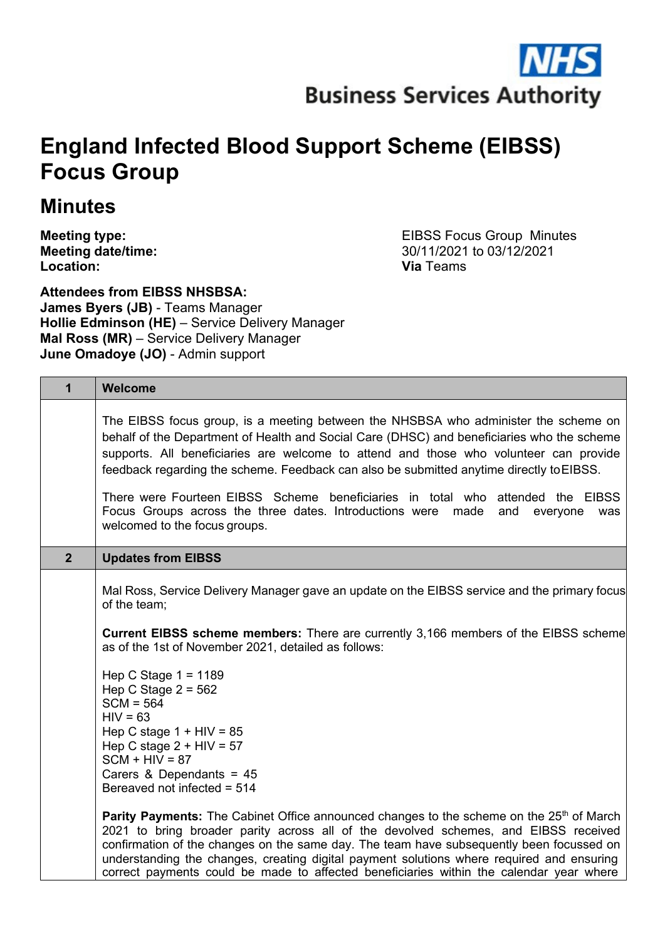# **England Infected Blood Support Scheme (EIBSS) Focus Group**

# **Minutes**

**Meeting type:**<br> **Meeting date/time:**<br> **Meeting date/time:**<br> **Meeting date/time:**<br> **EIBSS Focus Group Minutes Meeting date/time:**<br> **Location:**<br> **Location:**<br> **Via** Teams **Location: Via** Teams

**Attendees from EIBSS NHSBSA: James Byers (JB)** - Teams Manager **Hollie Edminson (HE)** – Service Delivery Manager **Mal Ross (MR)** – Service Delivery Manager **June Omadoye (JO)** - Admin support

| $\overline{1}$ | Welcome                                                                                                                                                                                                                                                                                                                                                                                                                                                                                                                                                                             |
|----------------|-------------------------------------------------------------------------------------------------------------------------------------------------------------------------------------------------------------------------------------------------------------------------------------------------------------------------------------------------------------------------------------------------------------------------------------------------------------------------------------------------------------------------------------------------------------------------------------|
|                | The EIBSS focus group, is a meeting between the NHSBSA who administer the scheme on<br>behalf of the Department of Health and Social Care (DHSC) and beneficiaries who the scheme<br>supports. All beneficiaries are welcome to attend and those who volunteer can provide<br>feedback regarding the scheme. Feedback can also be submitted anytime directly to EIBSS.<br>There were Fourteen EIBSS Scheme beneficiaries in total who attended the EIBSS<br>Focus Groups across the three dates. Introductions were made<br>and<br>everyone<br>was<br>welcomed to the focus groups. |
| 2 <sup>1</sup> | <b>Updates from EIBSS</b>                                                                                                                                                                                                                                                                                                                                                                                                                                                                                                                                                           |
|                | Mal Ross, Service Delivery Manager gave an update on the EIBSS service and the primary focus<br>of the team;<br><b>Current EIBSS scheme members:</b> There are currently 3,166 members of the EIBSS scheme<br>as of the 1st of November 2021, detailed as follows:<br>Hep C Stage $1 = 1189$<br>Hep C Stage $2 = 562$<br>$SCM = 564$<br>$HIV = 63$<br>Hep C stage $1 + HIV = 85$                                                                                                                                                                                                    |
|                | Hep C stage $2 + HIV = 57$<br>$SCM + HIV = 87$<br>Carers & Dependants = $45$<br>Bereaved not infected = 514                                                                                                                                                                                                                                                                                                                                                                                                                                                                         |
|                | <b>Parity Payments:</b> The Cabinet Office announced changes to the scheme on the 25 <sup>th</sup> of March<br>2021 to bring broader parity across all of the devolved schemes, and EIBSS received<br>confirmation of the changes on the same day. The team have subsequently been focussed on<br>understanding the changes, creating digital payment solutions where required and ensuring<br>correct payments could be made to affected beneficiaries within the calendar year where                                                                                              |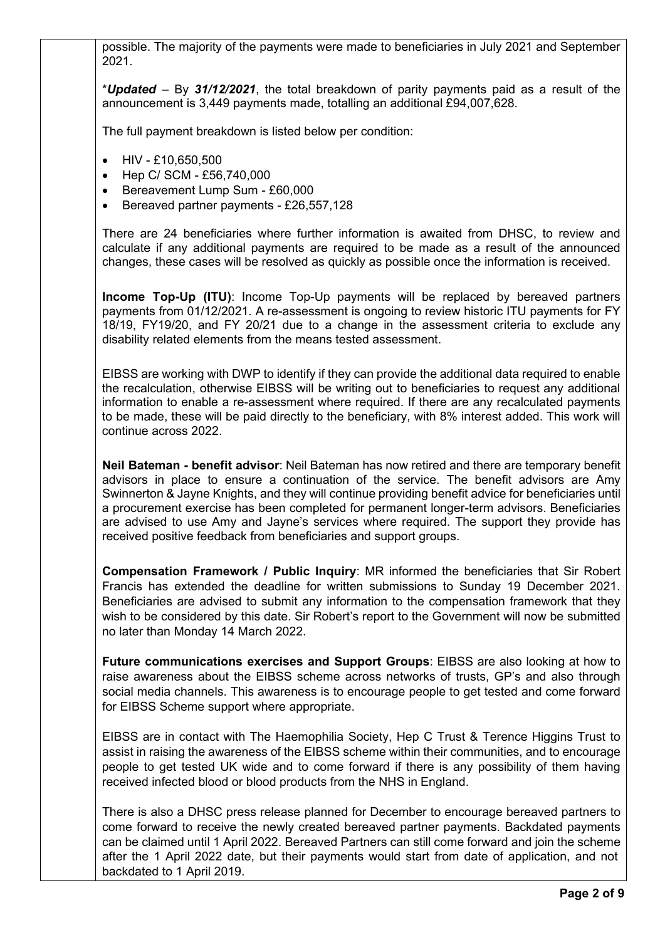possible. The majority of the payments were made to beneficiaries in July 2021 and September 2021.

\**Updated* – By *31/12/2021*, the total breakdown of parity payments paid as a result of the announcement is 3,449 payments made, totalling an additional £94,007,628.

The full payment breakdown is listed below per condition:

- HIV £10,650,500
- Hep C/ SCM £56,740,000
- Bereavement Lump Sum £60,000
- Bereaved partner payments £26,557,128

There are 24 beneficiaries where further information is awaited from DHSC, to review and calculate if any additional payments are required to be made as a result of the announced changes, these cases will be resolved as quickly as possible once the information is received.

**Income Top-Up (ITU)**: Income Top-Up payments will be replaced by bereaved partners payments from 01/12/2021. A re-assessment is ongoing to review historic ITU payments for FY 18/19, FY19/20, and FY 20/21 due to a change in the assessment criteria to exclude any disability related elements from the means tested assessment.

EIBSS are working with DWP to identify if they can provide the additional data required to enable the recalculation, otherwise EIBSS will be writing out to beneficiaries to request any additional information to enable a re-assessment where required. If there are any recalculated payments to be made, these will be paid directly to the beneficiary, with 8% interest added. This work will continue across 2022.

**Neil Bateman - benefit advisor**: Neil Bateman has now retired and there are temporary benefit advisors in place to ensure a continuation of the service. The benefit advisors are Amy Swinnerton & Jayne Knights, and they will continue providing benefit advice for beneficiaries until a procurement exercise has been completed for permanent longer-term advisors. Beneficiaries are advised to use Amy and Jayne's services where required. The support they provide has received positive feedback from beneficiaries and support groups.

**Compensation Framework / Public Inquiry**: MR informed the beneficiaries that Sir Robert Francis has extended the deadline for written submissions to Sunday 19 December 2021. Beneficiaries are advised to submit any information to the compensation framework that they wish to be considered by this date. Sir Robert's report to the Government will now be submitted no later than Monday 14 March 2022.

**Future communications exercises and Support Groups**: EIBSS are also looking at how to raise awareness about the EIBSS scheme across networks of trusts, GP's and also through social media channels. This awareness is to encourage people to get tested and come forward for EIBSS Scheme support where appropriate.

EIBSS are in contact with The Haemophilia Society, Hep C Trust & Terence Higgins Trust to assist in raising the awareness of the EIBSS scheme within their communities, and to encourage people to get tested UK wide and to come forward if there is any possibility of them having received infected blood or blood products from the NHS in England.

There is also a DHSC press release planned for December to encourage bereaved partners to come forward to receive the newly created bereaved partner payments. Backdated payments can be claimed until 1 April 2022. Bereaved Partners can still come forward and join the scheme after the 1 April 2022 date, but their payments would start from date of application, and not backdated to 1 April 2019.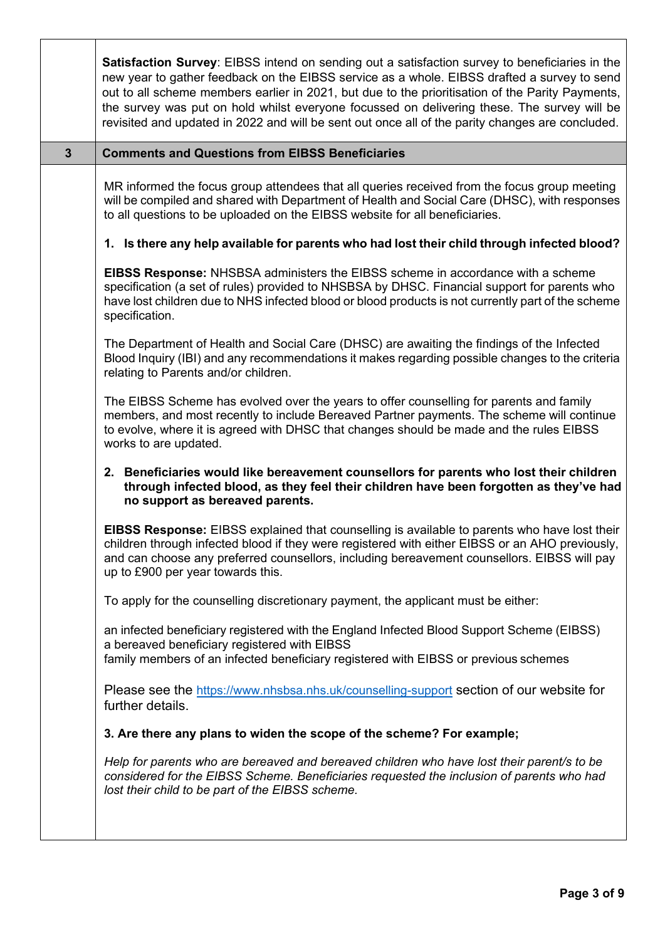|              | <b>Satisfaction Survey:</b> EIBSS intend on sending out a satisfaction survey to beneficiaries in the<br>new year to gather feedback on the EIBSS service as a whole. EIBSS drafted a survey to send<br>out to all scheme members earlier in 2021, but due to the prioritisation of the Parity Payments,<br>the survey was put on hold whilst everyone focussed on delivering these. The survey will be<br>revisited and updated in 2022 and will be sent out once all of the parity changes are concluded. |
|--------------|-------------------------------------------------------------------------------------------------------------------------------------------------------------------------------------------------------------------------------------------------------------------------------------------------------------------------------------------------------------------------------------------------------------------------------------------------------------------------------------------------------------|
| $\mathbf{3}$ | <b>Comments and Questions from EIBSS Beneficiaries</b>                                                                                                                                                                                                                                                                                                                                                                                                                                                      |
|              | MR informed the focus group attendees that all queries received from the focus group meeting<br>will be compiled and shared with Department of Health and Social Care (DHSC), with responses<br>to all questions to be uploaded on the EIBSS website for all beneficiaries.                                                                                                                                                                                                                                 |
|              | 1. Is there any help available for parents who had lost their child through infected blood?                                                                                                                                                                                                                                                                                                                                                                                                                 |
|              | <b>EIBSS Response:</b> NHSBSA administers the EIBSS scheme in accordance with a scheme<br>specification (a set of rules) provided to NHSBSA by DHSC. Financial support for parents who<br>have lost children due to NHS infected blood or blood products is not currently part of the scheme<br>specification.                                                                                                                                                                                              |
|              | The Department of Health and Social Care (DHSC) are awaiting the findings of the Infected<br>Blood Inquiry (IBI) and any recommendations it makes regarding possible changes to the criteria<br>relating to Parents and/or children.                                                                                                                                                                                                                                                                        |
|              | The EIBSS Scheme has evolved over the years to offer counselling for parents and family<br>members, and most recently to include Bereaved Partner payments. The scheme will continue<br>to evolve, where it is agreed with DHSC that changes should be made and the rules EIBSS<br>works to are updated.                                                                                                                                                                                                    |
|              | 2. Beneficiaries would like bereavement counsellors for parents who lost their children<br>through infected blood, as they feel their children have been forgotten as they've had<br>no support as bereaved parents.                                                                                                                                                                                                                                                                                        |
|              | <b>EIBSS Response:</b> EIBSS explained that counselling is available to parents who have lost their<br>children through infected blood if they were registered with either EIBSS or an AHO previously,<br>and can choose any preferred counsellors, including bereavement counsellors. EIBSS will pay<br>up to £900 per year towards this.                                                                                                                                                                  |
|              | To apply for the counselling discretionary payment, the applicant must be either:                                                                                                                                                                                                                                                                                                                                                                                                                           |
|              | an infected beneficiary registered with the England Infected Blood Support Scheme (EIBSS)<br>a bereaved beneficiary registered with EIBSS<br>family members of an infected beneficiary registered with EIBSS or previous schemes                                                                                                                                                                                                                                                                            |
|              | Please see the https://www.nhsbsa.nhs.uk/counselling-support section of our website for<br>further details.                                                                                                                                                                                                                                                                                                                                                                                                 |
|              | 3. Are there any plans to widen the scope of the scheme? For example;                                                                                                                                                                                                                                                                                                                                                                                                                                       |
|              | Help for parents who are bereaved and bereaved children who have lost their parent/s to be<br>considered for the EIBSS Scheme. Beneficiaries requested the inclusion of parents who had<br>lost their child to be part of the EIBSS scheme.                                                                                                                                                                                                                                                                 |
|              |                                                                                                                                                                                                                                                                                                                                                                                                                                                                                                             |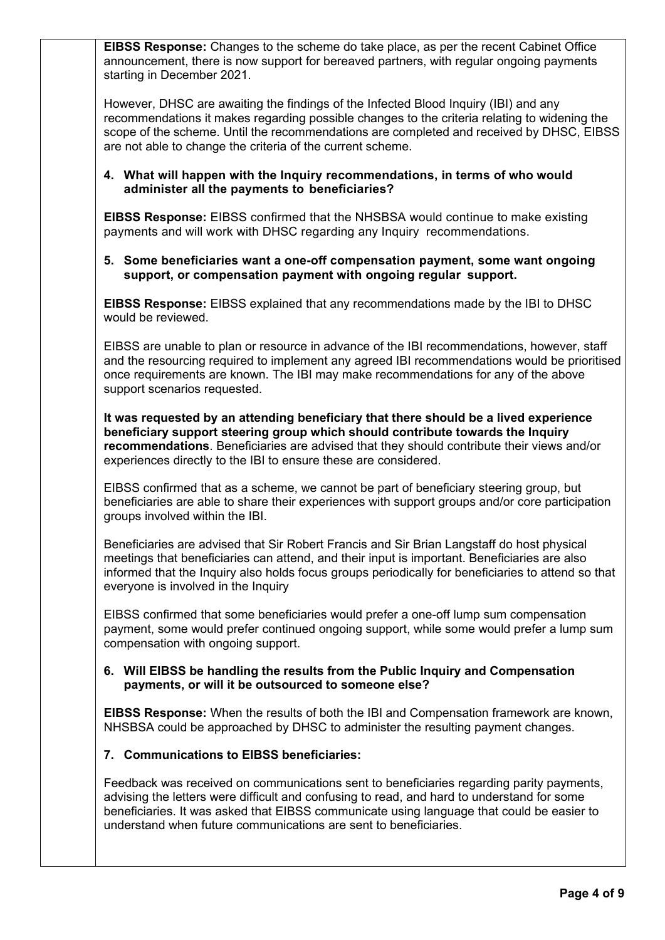**EIBSS Response:** Changes to the scheme do take place, as per the recent Cabinet Office announcement, there is now support for bereaved partners, with regular ongoing payments starting in December 2021.

However, DHSC are awaiting the findings of the Infected Blood Inquiry (IBI) and any recommendations it makes regarding possible changes to the criteria relating to widening the scope of the scheme. Until the recommendations are completed and received by DHSC, EIBSS are not able to change the criteria of the current scheme.

#### **4. What will happen with the Inquiry recommendations, in terms of who would administer all the payments to beneficiaries?**

**EIBSS Response:** EIBSS confirmed that the NHSBSA would continue to make existing payments and will work with DHSC regarding any Inquiry recommendations.

#### **5. Some beneficiaries want a one-off compensation payment, some want ongoing support, or compensation payment with ongoing regular support.**

**EIBSS Response:** EIBSS explained that any recommendations made by the IBI to DHSC would be reviewed.

EIBSS are unable to plan or resource in advance of the IBI recommendations, however, staff and the resourcing required to implement any agreed IBI recommendations would be prioritised once requirements are known. The IBI may make recommendations for any of the above support scenarios requested.

**It was requested by an attending beneficiary that there should be a lived experience beneficiary support steering group which should contribute towards the Inquiry recommendations**. Beneficiaries are advised that they should contribute their views and/or experiences directly to the IBI to ensure these are considered.

EIBSS confirmed that as a scheme, we cannot be part of beneficiary steering group, but beneficiaries are able to share their experiences with support groups and/or core participation groups involved within the IBI.

Beneficiaries are advised that Sir Robert Francis and Sir Brian Langstaff do host physical meetings that beneficiaries can attend, and their input is important. Beneficiaries are also informed that the Inquiry also holds focus groups periodically for beneficiaries to attend so that everyone is involved in the Inquiry

EIBSS confirmed that some beneficiaries would prefer a one-off lump sum compensation payment, some would prefer continued ongoing support, while some would prefer a lump sum compensation with ongoing support.

#### **6. Will EIBSS be handling the results from the Public Inquiry and Compensation payments, or will it be outsourced to someone else?**

**EIBSS Response:** When the results of both the IBI and Compensation framework are known, NHSBSA could be approached by DHSC to administer the resulting payment changes.

# **7. Communications to EIBSS beneficiaries:**

Feedback was received on communications sent to beneficiaries regarding parity payments, advising the letters were difficult and confusing to read, and hard to understand for some beneficiaries. It was asked that EIBSS communicate using language that could be easier to understand when future communications are sent to beneficiaries.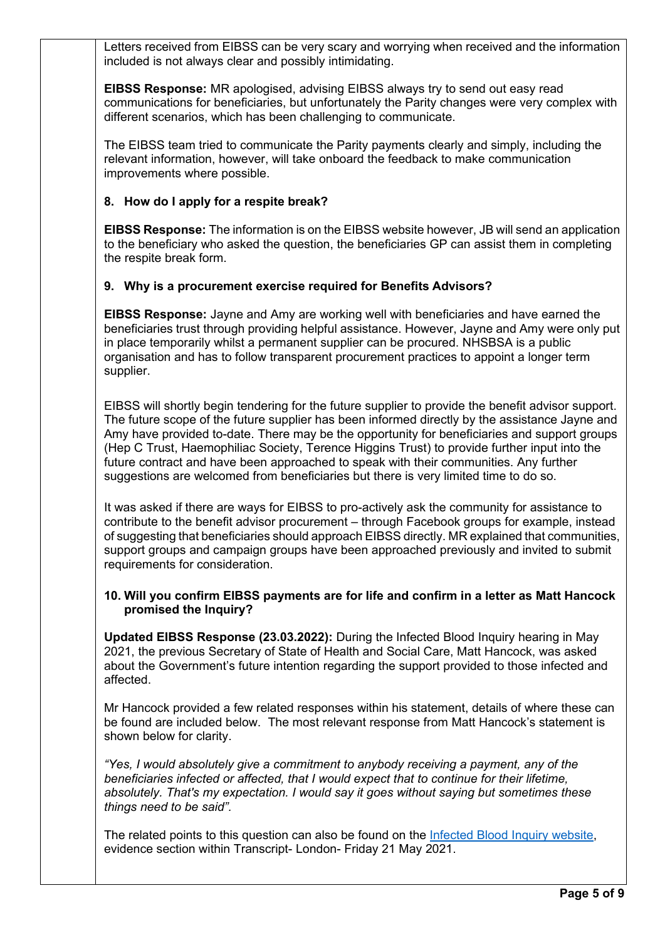Letters received from EIBSS can be very scary and worrying when received and the information included is not always clear and possibly intimidating.

**EIBSS Response:** MR apologised, advising EIBSS always try to send out easy read communications for beneficiaries, but unfortunately the Parity changes were very complex with different scenarios, which has been challenging to communicate.

The EIBSS team tried to communicate the Parity payments clearly and simply, including the relevant information, however, will take onboard the feedback to make communication improvements where possible.

## **8. How do I apply for a respite break?**

**EIBSS Response:** The information is on the EIBSS website however, JB will send an application to the beneficiary who asked the question, the beneficiaries GP can assist them in completing the respite break form.

## **9. Why is a procurement exercise required for Benefits Advisors?**

**EIBSS Response:** Jayne and Amy are working well with beneficiaries and have earned the beneficiaries trust through providing helpful assistance. However, Jayne and Amy were only put in place temporarily whilst a permanent supplier can be procured. NHSBSA is a public organisation and has to follow transparent procurement practices to appoint a longer term supplier.

EIBSS will shortly begin tendering for the future supplier to provide the benefit advisor support. The future scope of the future supplier has been informed directly by the assistance Jayne and Amy have provided to-date. There may be the opportunity for beneficiaries and support groups (Hep C Trust, Haemophiliac Society, Terence Higgins Trust) to provide further input into the future contract and have been approached to speak with their communities. Any further suggestions are welcomed from beneficiaries but there is very limited time to do so.

It was asked if there are ways for EIBSS to pro-actively ask the community for assistance to contribute to the benefit advisor procurement – through Facebook groups for example, instead of suggesting that beneficiaries should approach EIBSS directly. MR explained that communities, support groups and campaign groups have been approached previously and invited to submit requirements for consideration.

#### **10. Will you confirm EIBSS payments are for life and confirm in a letter as Matt Hancock promised the Inquiry?**

**Updated EIBSS Response (23.03.2022):** During the Infected Blood Inquiry hearing in May 2021, the previous Secretary of State of Health and Social Care, Matt Hancock, was asked about the Government's future intention regarding the support provided to those infected and affected.

Mr Hancock provided a few related responses within his statement, details of where these can be found are included below. The most relevant response from Matt Hancock's statement is shown below for clarity.

*"Yes, I would absolutely give a commitment to anybody receiving a payment, any of the beneficiaries infected or affected, that I would expect that to continue for their lifetime, absolutely. That's my expectation. I would say it goes without saying but sometimes these things need to be said".*

The related points to this question can also be found on the [Infected Blood Inquiry website,](https://www.infectedbloodinquiry.org.uk/evidence) evidence section within Transcript- London- Friday 21 May 2021.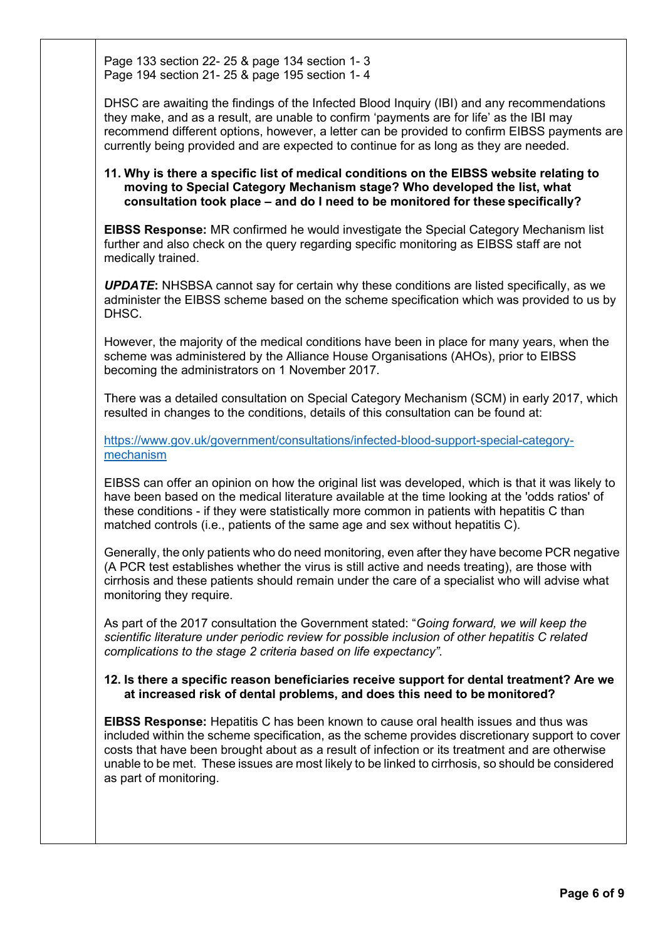Page 133 section 22- 25 & page 134 section 1- 3 Page 194 section 21- 25 & page 195 section 1- 4

DHSC are awaiting the findings of the Infected Blood Inquiry (IBI) and any recommendations they make, and as a result, are unable to confirm 'payments are for life' as the IBI may recommend different options, however, a letter can be provided to confirm EIBSS payments are currently being provided and are expected to continue for as long as they are needed.

#### **11. Why is there a specific list of medical conditions on the EIBSS website relating to moving to Special Category Mechanism stage? Who developed the list, what consultation took place – and do I need to be monitored for these specifically?**

**EIBSS Response:** MR confirmed he would investigate the Special Category Mechanism list further and also check on the query regarding specific monitoring as EIBSS staff are not medically trained.

*UPDATE***:** NHSBSA cannot say for certain why these conditions are listed specifically, as we administer the EIBSS scheme based on the scheme specification which was provided to us by DHSC.

However, the majority of the medical conditions have been in place for many years, when the scheme was administered by the Alliance House Organisations (AHOs), prior to EIBSS becoming the administrators on 1 November 2017.

There was a detailed consultation on Special Category Mechanism (SCM) in early 2017, which resulted in changes to the conditions, details of this consultation can be found at:

[https://www.gov.uk/government/consultations/infected-blood-support-special-category](https://www.gov.uk/government/consultations/infected-blood-support-special-category-mechanism)[mechanism](https://www.gov.uk/government/consultations/infected-blood-support-special-category-mechanism)

EIBSS can offer an opinion on how the original list was developed, which is that it was likely to have been based on the medical literature available at the time looking at the 'odds ratios' of these conditions - if they were statistically more common in patients with hepatitis C than matched controls (i.e., patients of the same age and sex without hepatitis C).

Generally, the only patients who do need monitoring, even after they have become PCR negative (A PCR test establishes whether the virus is still active and needs treating), are those with cirrhosis and these patients should remain under the care of a specialist who will advise what monitoring they require.

As part of the 2017 consultation the Government stated: "*Going forward, we will keep the scientific literature under periodic review for possible inclusion of other hepatitis C related complications to the stage 2 criteria based on life expectancy".*

#### **12. Is there a specific reason beneficiaries receive support for dental treatment? Are we at increased risk of dental problems, and does this need to be monitored?**

**EIBSS Response:** Hepatitis C has been known to cause oral health issues and thus was included within the scheme specification, as the scheme provides discretionary support to cover costs that have been brought about as a result of infection or its treatment and are otherwise unable to be met. These issues are most likely to be linked to cirrhosis, so should be considered as part of monitoring.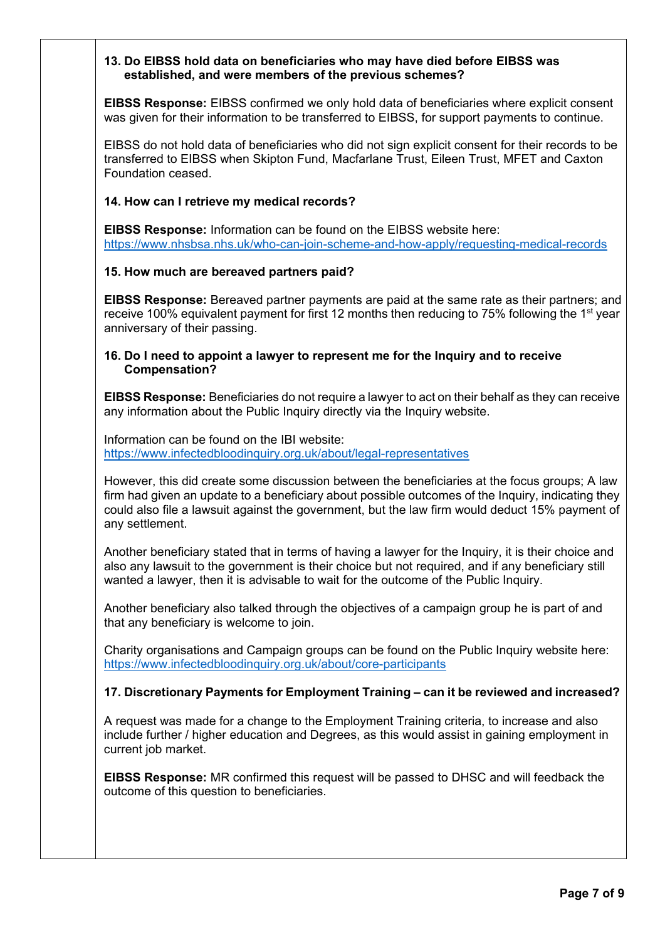#### **13. Do EIBSS hold data on beneficiaries who may have died before EIBSS was established, and were members of the previous schemes?**

**EIBSS Response:** EIBSS confirmed we only hold data of beneficiaries where explicit consent was given for their information to be transferred to EIBSS, for support payments to continue.

EIBSS do not hold data of beneficiaries who did not sign explicit consent for their records to be transferred to EIBSS when Skipton Fund, Macfarlane Trust, Eileen Trust, MFET and Caxton Foundation ceased.

#### **14. How can I retrieve my medical records?**

**EIBSS Response:** Information can be found on the EIBSS website here: <https://www.nhsbsa.nhs.uk/who-can-join-scheme-and-how-apply/requesting-medical-records>

#### **15. How much are bereaved partners paid?**

**EIBSS Response:** Bereaved partner payments are paid at the same rate as their partners; and receive 100% equivalent payment for first 12 months then reducing to 75% following the 1<sup>st</sup> year anniversary of their passing.

#### **16. Do I need to appoint a lawyer to represent me for the Inquiry and to receive Compensation?**

**EIBSS Response:** Beneficiaries do not require a lawyer to act on their behalf as they can receive any information about the Public Inquiry directly via the Inquiry website.

Information can be found on the IBI website: <https://www.infectedbloodinquiry.org.uk/about/legal-representatives>

However, this did create some discussion between the beneficiaries at the focus groups; A law firm had given an update to a beneficiary about possible outcomes of the Inquiry, indicating they could also file a lawsuit against the government, but the law firm would deduct 15% payment of any settlement.

Another beneficiary stated that in terms of having a lawyer for the Inquiry, it is their choice and also any lawsuit to the government is their choice but not required, and if any beneficiary still wanted a lawyer, then it is advisable to wait for the outcome of the Public Inquiry.

Another beneficiary also talked through the objectives of a campaign group he is part of and that any beneficiary is welcome to join.

Charity organisations and Campaign groups can be found on the Public Inquiry website here: <https://www.infectedbloodinquiry.org.uk/about/core-participants>

#### **17. Discretionary Payments for Employment Training – can it be reviewed and increased?**

A request was made for a change to the Employment Training criteria, to increase and also include further / higher education and Degrees, as this would assist in gaining employment in current job market.

**EIBSS Response:** MR confirmed this request will be passed to DHSC and will feedback the outcome of this question to beneficiaries.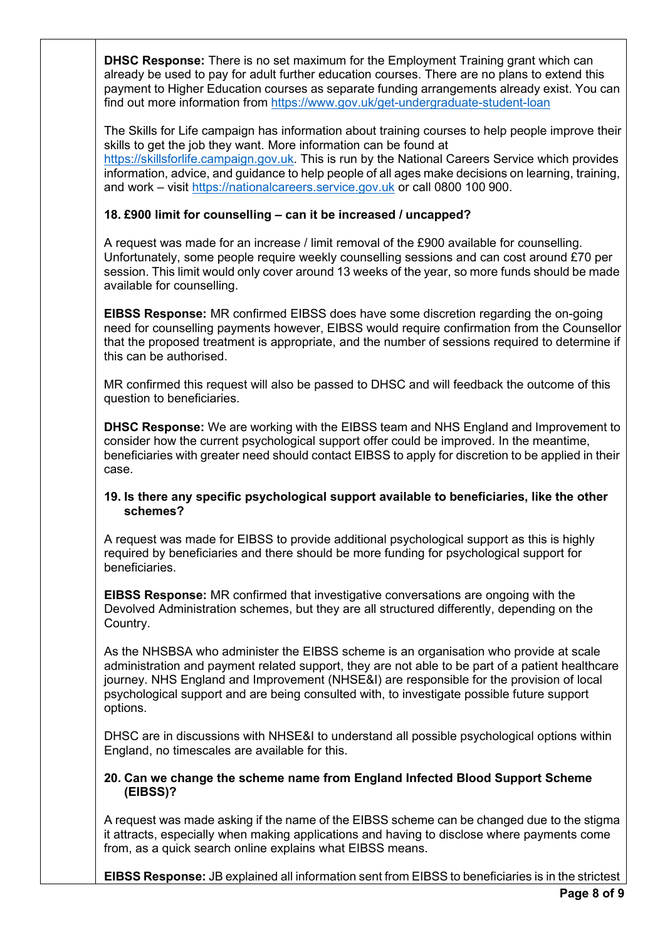**DHSC Response:** There is no set maximum for the Employment Training grant which can already be used to pay for adult further education courses. There are no plans to extend this payment to Higher Education courses as separate funding arrangements already exist. You can find out more information from <https://www.gov.uk/get-undergraduate-student-loan>

The Skills for Life campaign has information about training courses to help people improve their skills to get the job they want. More information can be found at [https://skillsforlife.campaign.gov.uk. T](https://skillsforlife.campaign.gov.uk/)his is run by the National Careers Service which provides information, advice, and guidance to help people of all ages make decisions on learning, training, and work – visit [https://nationalcareers.service.gov.uk](https://nationalcareers.service.gov.uk/) or call 0800 100 900.

# **18. £900 limit for counselling – can it be increased / uncapped?**

A request was made for an increase / limit removal of the £900 available for counselling. Unfortunately, some people require weekly counselling sessions and can cost around £70 per session. This limit would only cover around 13 weeks of the year, so more funds should be made available for counselling.

**EIBSS Response:** MR confirmed EIBSS does have some discretion regarding the on-going need for counselling payments however, EIBSS would require confirmation from the Counsellor that the proposed treatment is appropriate, and the number of sessions required to determine if this can be authorised.

MR confirmed this request will also be passed to DHSC and will feedback the outcome of this question to beneficiaries.

**DHSC Response:** We are working with the EIBSS team and NHS England and Improvement to consider how the current psychological support offer could be improved. In the meantime, beneficiaries with greater need should contact EIBSS to apply for discretion to be applied in their case.

#### **19. Is there any specific psychological support available to beneficiaries, like the other schemes?**

A request was made for EIBSS to provide additional psychological support as this is highly required by beneficiaries and there should be more funding for psychological support for beneficiaries.

**EIBSS Response:** MR confirmed that investigative conversations are ongoing with the Devolved Administration schemes, but they are all structured differently, depending on the Country.

As the NHSBSA who administer the EIBSS scheme is an organisation who provide at scale administration and payment related support, they are not able to be part of a patient healthcare journey. NHS England and Improvement (NHSE&I) are responsible for the provision of local psychological support and are being consulted with, to investigate possible future support options.

DHSC are in discussions with NHSE&I to understand all possible psychological options within England, no timescales are available for this.

#### **20. Can we change the scheme name from England Infected Blood Support Scheme (EIBSS)?**

A request was made asking if the name of the EIBSS scheme can be changed due to the stigma it attracts, especially when making applications and having to disclose where payments come from, as a quick search online explains what EIBSS means.

**EIBSS Response:** JB explained all information sent from EIBSS to beneficiaries is in the strictest